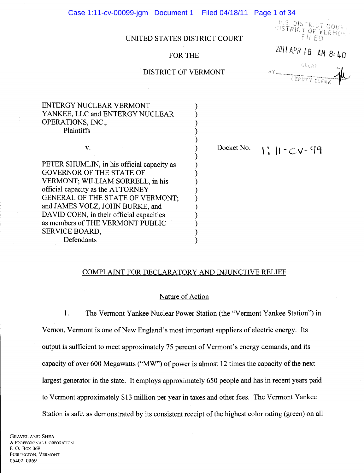Case 1:11-cv-00099-jgm Document 1 Filed 04/18/11 Page 1 of 34

U.S. DISTRICT COURT FILED

# UNITED STATES DISTRICT COURT

# FOR THE  $\frac{2011 \text{ APR} \cdot 18}{100}$  AM 8: 40

) ) ) ) ) ) ) ) ) ) ) ) ) ) ) ) )

BY DEPUTY CL

| ENTERGY NUCLEAR VERMONT         |
|---------------------------------|
| YANKEE, LLC and ENTERGY NUCLEAR |
| OPERATIONS, INC.,               |
| <b>Plaintiffs</b>               |
|                                 |

v.

PETER SHUMLIN, in his official capacity as GOVERNOR OF THE STATE OF VERMONT; WILLIAM SORRELL, in his official capacity as the ATTORNEY GENERAL OF THE STATE OF VERMONT; and JAMES VOLZ, JOHN BURKE, and DAVID COEN, in their official capacities as members of THE VERMONT PUBLIC SERVICE BOARD, Defendants

Docket No.

 $1:11-Cv-99$ 

#### COMPLAINT FOR DECLARATORY AND INJUNCTIVE RELIEF

#### Nature of Action

1. The Vermont Yankee Nuclear Power Station (the "Vermont Yankee Station") in Vernon, Vermont is one of New England's most important suppliers of electric energy. Its output is sufficient to meet approximately 75 percent of Vermont's energy demands, and its capacity of over 600 Megawatts ("MW") of power is almost 12 times the capacity of the next largest generator in the state. It employs approximately 650 people and has in recent years paid to Vermont approximately \$13 million per year in taxes and other fees. The Vermont Yankee Station is safe, as demonstrated by its consistent receipt of the highest color rating (green) on all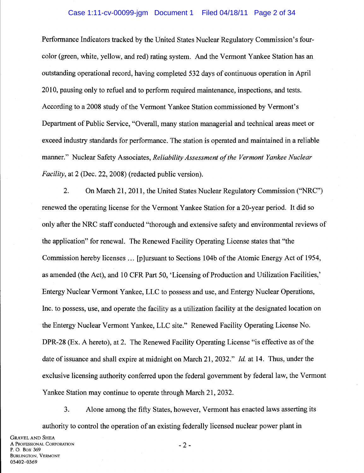# Case 1:11-cv-00099-jgm Document 1 Filed 04/18/11 Page 2 of 34

Performance Indicators tracked by the United States Nuclear Regulatory Commission's fourcolor (green, white, yellow, and red) rating system. And the Vermont Yankee Station has an outstanding operational record, having completed 532 days of continuous operation in April 2010, pausing only to refuel and to perform required maintenance, inspections, and tests. According to a 2008 study of the Vermont Yankee Station commissioned by Vermont's Department of Public Service, "Overall, many station managerial and technical areas meet or exceed industry standards for performance. The station is operated and maintained in a reliable manner." Nuclear Safety Associates, *Reliability Assessment of the Vermont Yankee Nuclear Facility,* at 2 (Dec. 22, 2008) (redacted public version).

2. On March 21, 2011, the United States Nuclear Regulatory Commission ("NRC") renewed the operating license for the Vermont Yankee Station for a 20-year period. It did so only after the NRC staff conducted "thorough and extensive safety and environmental reviews of the application" for renewal. The Renewed Facility Operating License states that "the Commission hereby licenses ... [p]ursuant to Sections 104b of the Atomic Energy Act of 1954, as amended (the Act), and 10 CFR Part 50, 'Licensing of Production and Utilization Facilities,' Entergy Nuclear Vermont Yankee, LLC to possess and use, and Entergy Nuclear Operations, Inc. to possess, use, and operate the facility as a utilization facility at the designated location on the Entergy Nuclear Vermont Yankee, LLC site." Renewed Facility Operating License No. DPR-28 (Ex. A hereto), at 2. The Renewed Facility Operating License "is effective as of the date of issuance and shall expire at midnight on March 21, 2032." *!d.* at 14. Thus, under the exclusive licensing authority conferred upon the federal government by federal law, the Vermont Yankee Station may continue to operate through March 21, 2032.

3. Alone among the fifty States, however, Vermont has enacted laws asserting its authority to control the operation of an existing federally licensed nuclear power plant in

- 2-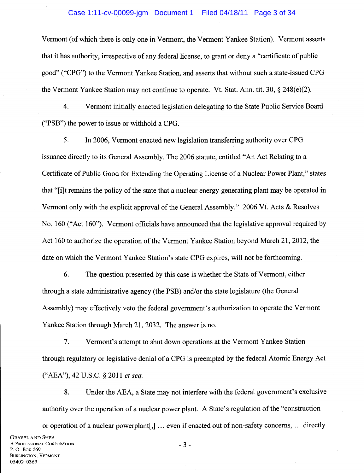#### Case 1:11-cv-00099-jgm Document 1 Filed 04/18/11 Page 3 of 34

Vermont (ofwhich there is only one in Vermont, the Vermont Yankee Station). Vermont asserts that it has authority, irrespective of any federal license, to grant or deny a "certificate of public good" ("CPG") to the Vermont Yankee Station, and asserts that without such a state-issued CPG the Vermont Yankee Station may not continue to operate. Vt. Stat. Ann. tit. 30, § 248(e)(2).

4. Vermont initially enacted legislation delegating to the State Public Service Board ("PSB") the power to issue or withhold a CPG.

5. In 2006, Vermont enacted new legislation transferring authority over CPG issuance directly to its General Assembly. The 2006 statute, entitled "An Act Relating to a Certificate of Public Good for Extending the Operating License of a Nuclear Power Plant," states that "[i]t remains the policy of the state that a nuclear energy generating plant may be operated in Vermont only with the explicit approval of the General Assembly." 2006 Vt. Acts & Resolves No. 160 ("Act 160"). Vermont officials have announced that the legislative approval required by Act 160 to authorize the operation of the Vermont Yankee Station beyond March 21, 2012, the date on which the Vermont Yankee Station's state CPG expires, will not be forthcoming.

6. The question presented by this case is whether the State of Vermont, either through a state administrative agency (the PSB) and/or the state legislature (the General Assembly) may effectively veto the federal government's authorization to operate the Vermont Yankee Station through March 21, 2032. The answer is no.

7. Vermont's attempt to shut down operations at the Vermont Yankee Station through regulatory or legislative denial of a CPG is preempted by the federal Atomic Energy Act ("AEA"), 42 U.S.C. § 2011 *et seq.* 

8. Under the AEA, a State may not interfere with the federal government's exclusive authority over the operation of a nuclear power plant. A State's regulation of the "construction

- 3-

or operation of a nuclear powerplant[,] ... even if enacted out of non-safety concerns, ... directly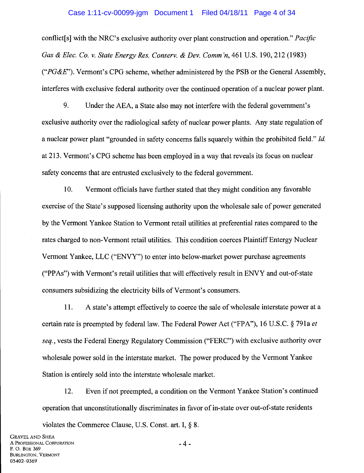#### Case 1:11-cv-00099-jgm Document 1 Filed 04/18/11 Page 4 of 34

conflict[s] with the NRC's exclusive authority over plant construction and operation." *Pacific Gas & Elec. Co. v. State Energy Res. Conserv. & Dev. Comm 'n,* 461 U.S. 190,212 (1983) *("PG&E").* Vermont's CPG scheme, whether administered by the PSB or the General Assembly, interferes with exclusive federal authority over the continued operation of a nuclear power plant.

9. Under the AEA, a State also may not interfere with the federal government's exclusive authority over the radiological safety of nuclear power plants. Any state regulation of a nuclear power plant "grounded in safety concerns falls squarely within the prohibited field." *!d.*  at 213. Vermont's CPG scheme has been employed in a way that reveals its focus on nuclear safety concerns that are entrusted exclusively to the federal government.

10. Vermont officials have further stated that they might condition any favorable exercise of the State's supposed licensing authority upon the wholesale sale of power generated by the Vermont Yankee Station to Vermont retail utilities at preferential rates compared to the rates charged to non-Vermont retail utilities. This condition coerces Plaintiff Entergy Nuclear Vermont Yankee, LLC ("ENVY") to enter into below-market power purchase agreements ("PPAs") with Vermont's retail utilities that will effectively result in ENVY and out-of-state consumers subsidizing the electricity bills of Vermont's consumers.

11. A state's attempt effectively to coerce the sale of wholesale interstate power at a certain rate is preempted by federal law. The Federal Power Act ("FPA"), 16 U.S.C. § 791a *et seq.,* vests the Federal Energy Regulatory Commission ("FERC") with exclusive authority over wholesale power sold in the interstate market. The power produced by the Vermont Yankee Station is entirely sold into the interstate wholesale market.

12. Even if not preempted, a condition on the Vermont Yankee Station's continued operation that unconstitutionally discriminates in favor of in-state over out-of-state residents violates the Commerce Clause, U.S. Const. art. I,§ 8.

-4-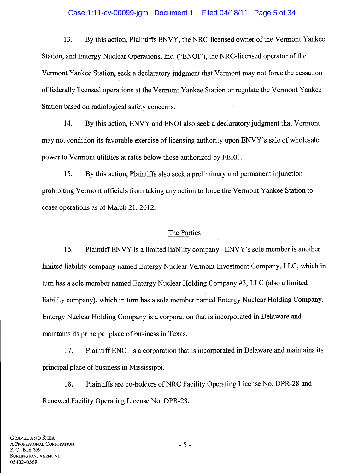#### Case 1:11-cv-00099-jgm Document 1 Filed 04/18/11 Page 5 of 34

13. By this action, Plaintiffs ENVY, the NRC-licensed owner of the Vermont Yankee Station, and Entergy Nuclear Operations, Inc. ("ENOl"), the NRC-licensed operator of the Vermont Yankee Station, seek a declaratory judgment that Vermont may not force the cessation of federally licensed operations at the Vermont Yankee Station or regulate the Vermont Y ank:ee Station based on radiological safety concerns.

14. By this action, ENVY and ENOl also seek a declaratory judgment that Vermont may not condition its favorable exercise of licensing authority upon ENVY's sale of wholesale power to Vermont utilities at rates below those authorized by FERC.

15. By this action, Plaintiffs also seek a preliminary and permanent injunction prohibiting Vermont officials from taking any action to force the Vermont Yankee Station to cease operations as of March 21, 2012.

#### The Parties

16. Plaintiff ENVY is a limited liability company. ENVY's sole member is another limited liability company named Entergy Nuclear Vermont Investment Company, LLC, which in turn has a sole member named Entergy Nuclear Holding Company #3, LLC (also a limited liability company), which in tum has a sole member named Entergy Nuclear Holding Company. Entergy Nuclear Holding Company is a corporation that is incorporated in Delaware and maintains its principal place of business in Texas.

17. Plaintiff ENOl is a corporation that is incorporated in Delaware and maintains its principal place of business in Mississippi.

18. Plaintiffs are co-holders of NRC Facility Operating License No. DPR-28 and Renewed Facility Operating License No. DPR-28.

- 5-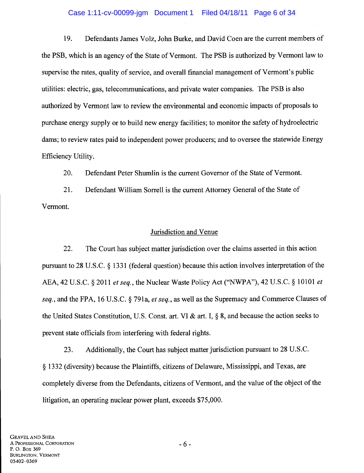# Case 1:11-cv-00099-jgm Document 1 Filed 04/18/11 Page 6 of 34

19. Defendants James Volz, John Burke, and David Coen are the current members of the PSB, which is an agency of the State of Vermont. The PSB is authorized by Vermont law to supervise the rates, quality of service, and overall financial management of Vermont's public utilities: electric, gas, telecommunications, and private water companies. The PSB is also authorized by Vermont law to review the environmental and economic impacts of proposals to purchase energy supply or to build new energy facilities; to monitor the safety of hydroelectric dams; to review rates paid to independent power producers; and to oversee the statewide Energy Efficiency Utility.

20. Defendant Peter Shumlin is the current Governor of the State of Vermont.

21. Defendant William Sorrell is the current Attorney General of the State of Vermont.

#### Jurisdiction and Venue

22. The Court has subject matter jurisdiction over the claims asserted in this action pursuant to 28 U.S.C. § 1331 (federal question) because this action involves interpretation of the AEA, 42 U.S.C. § 2011 *et seq.,* the Nuclear Waste Policy Act ("NWPA"), 42 U.S.C. § 10101 *et seq.,* and the FPA, 16 U.S.C. § 791a, *et seq.,* as well as the Supremacy and Commerce Clauses of the United States Constitution, U.S. Const. art. VI & art. I, § 8, and because the action seeks to prevent state officials from interfering with federal rights.

23. Additionally, the Court has subject matter jurisdiction pursuant to 28 U.S.C. § 1332 (diversity) because the Plaintiffs, citizens of Delaware, Mississippi, and Texas, are completely diverse from the Defendants, citizens of Vermont, and the value of the object of the litigation, an operating nuclear power plant, exceeds \$75,000.

- 6 -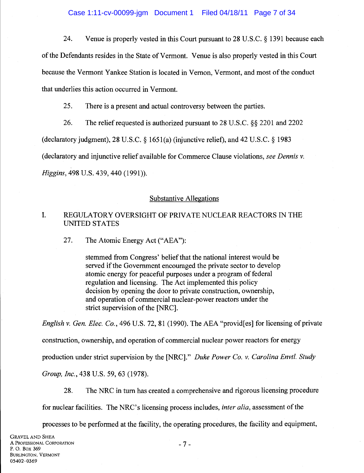24. Venue is properly vested in this Court pursuant to 28 U.S.C. § 1391 because each of the Defendants resides in the State of Vermont. Venue is also properly vested in this Court because the Vermont Yankee Station is located in Vernon, Vermont, and most of the conduct that underlies this action occurred in Vermont.

25. There is a present and actual controversy between the parties.

26. The relief requested is authorized pursuant to 28 U.S.C. §§ 2201 and 2202 (declaratory judgment), 28 U.S.C. § 1651(a) (injunctive relief), and 42 U.S.C. § 1983 (declaratory and injunctive relief available for Commerce Clause violations, *see Dennis v. Higgins,* 498 U.S. 439, 440 (1991)).

# Substantive Allegations

# I. REGULATORY OVERSIGHT OF PRIVATE NUCLEAR REACTORS IN THE UNITED STATES

27. The Atomic Energy Act ("AEA"):

stemmed from Congress' belief that the national interest would be served if the Government encouraged the private sector to develop atomic energy for peaceful purposes under a program of federal regulation and licensing. The Act implemented this policy decision by opening the door to private construction, ownership, and operation of commercial nuclear-power reactors under the strict supervision of the [NRC].

*English v. Gen. Elec. Co.,* 496 U.S. 72, 81 (1990). The AEA "provid[es] for licensing of private construction, ownership, and operation of commercial nuclear power reactors for energy production under strict supervision by the [NRC]." *Duke Power Co. v. Carolina Envtl. Study Group, Inc.,* 438 U.S. 59, 63 (1978).

28. The NRC in tum has created a comprehensive and rigorous licensing procedure

for nuclear facilities. The NRC's licensing process includes, *inter alia,* assessment of the

processes to be performed at the facility, the operating procedures, the facility and equipment,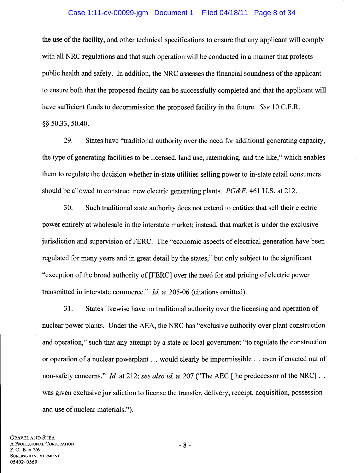# Case 1:11-cv-00099-jgm Document 1 Filed 04/18/11 Page 8 of 34

the use of the facility, and other technical specifications to ensure that any applicant will comply with all NRC regulations and that such operation will be conducted in a manner that protects public health and safety. In addition, the NRC assesses the financial soundness of the applicant to ensure both that the proposed facility can be successfully completed and that the applicant will have sufficient funds to decommission the proposed facility in the future. *See* 10 C.F .R. §§ 50.33, 50.40.

29. States have "traditional authority over the need for additional generating capacity, the type of generating facilities to be licensed, land use, ratemaking, and the like," which enables them to regulate the decision whether in-state utilities selling power to in-state retail consumers should be allowed to construct new electric generating plants. *PG&E,* 461 U.S. at 212.

30. Such traditional state authority does not extend to entities that sell their electric power entirely at wholesale in the interstate market; instead, that market is under the exclusive jurisdiction and supervision of FERC. The "economic aspects of electrical generation have been regulated for many years and in great detail by the states," but only subject to the significant "exception of the broad authority of [FERC] over the need for and pricing of electric power transmitted in interstate commerce." *!d.* at 205-06 (citations omitted).

31. States likewise have no traditional authority over the licensing and operation of nuclear power plants. Under the AEA, the NRC has "exclusive authority over plant construction and operation," such that any attempt by a state or local government "to regulate the construction or operation of a nuclear powerplant ... would clearly be impermissible ... even if enacted out of non-safety concerns." *!d.* at 212; *see also id.* at 207 ("The AEC [the predecessor of the NRC] ... was given exclusive jurisdiction to license the transfer, delivery, receipt, acquisition, possession and use of nuclear materials.").

GRAVEL AND SHEA A PROFESSIONAL CORPORATION P. 0. Box 369 BURLINGTON, VERMONT 05402-0369

- 8-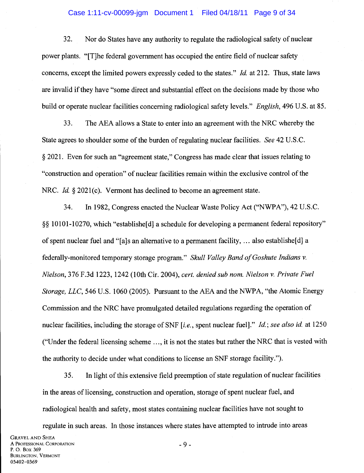# Case 1:11-cv-00099-jgm Document 1 Filed 04/18/11 Page 9 of 34

32. Nor do States have any authority to regulate the radiological safety of nuclear power plants. "[T]he federal government has occupied the entire field of nuclear safety concerns, except the limited powers expressly ceded to the states." *Id.* at 212. Thus, state laws are invalid if they have "some direct and substantial effect on the decisions made by those who build or operate nuclear facilities concerning radiological safety levels." *English,* 496 U.S. at 85.

33. The AEA allows a State to enter into an agreement with the NRC whereby the State agrees to shoulder some of the burden of regulating nuclear facilities. *See* 42 U.S.C. § 2021. Even for such an "agreement state," Congress has made clear that issues relating to "construction and operation" of nuclear facilities remain within the exclusive control of the NRC. *Id.* § 2021(c). Vermont has declined to become an agreement state.

34. In 1982, Congress enacted the Nuclear Waste Policy Act ("NWPA"), 42 U.S.C. §§ 10101-10270, which "establishe[d] a schedule for developing a permanent federal repository" of spent nuclear fuel and "[a]s an alternative to a permanent facility, ... also establishe[d] a federally-monitored temporary storage program." *Skull Valley Band of Goshute Indians v. Nielson,* 376 F.3d 1223, 1242 (lOth Cir. 2004), *cert. denied sub nom. Nielson v. Private Fuel Storage, LLC,* 546 U.S. 1060 (2005). Pursuant to the AEA and the NWPA, "the Atomic Energy Commission and the NRC have promulgated detailed regulations regarding the operation of nuclear facilities, including the storage of SNF [i.e., spent nuclear fuel]." *Id.; see also id.* at 1250 ("Under the federal licensing scheme ... , it is not the states but rather the NRC that is vested with the authority to decide under what conditions to license an SNF storage facility.").

35. In light of this extensive field preemption of state regulation of nuclear facilities in the areas of licensing, construction and operation, storage of spent nuclear fuel, and radiological health and safety, most states containing nuclear facilities have not sought to

regulate in such areas. In those instances where states have attempted to intrude into areas

- 9 -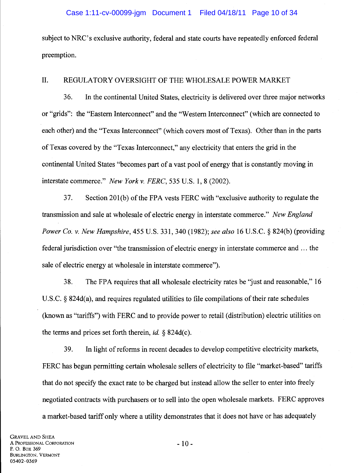# Case 1:11-cv-00099-jgm Document 1 Filed 04/18/11 Page 10 of 34

subject to NRC's exclusive authority, federal and state courts have repeatedly enforced federal preemption.

# II. REGULATORY OVERSIGHT OF THE WHOLESALE POWER MARKET

36. In the continental United States, electricity is delivered over three major networks or "grids": the "Eastern Interconnect" and the "Western Interconnect" (which are connected to each other) and the "Texas Interconnect" (which covers most of Texas). Other than in the parts of Texas covered by the "Texas Interconnect," any electricity that enters the grid in the continental United States "becomes part of a vast pool of energy that is constantly moving in interstate commerce." *New York v. FERC,* 535 U.S. 1, 8 (2002).

37. Section 201(b) ofthe FPA vests PERC with "exclusive authority to regulate the transmission and sale at wholesale of electric energy in interstate commerce." *New England Power Co. v. New Hampshire,* 455 U.S. 331,340 (1982); *see also* 16 U.S.C. § 824(b) (providing federal jurisdiction over "the transmission of electric energy in interstate commerce and ... the sale of electric energy at wholesale in interstate commerce").

38. The FPA requires that all wholesale electricity rates be "just and reasonable," 16 U.S.C. § 824d(a), and requires regulated utilities to file compilations of their rate schedules (known as "tariffs") with PERC and to provide power to retail (distribution) electric utilities on the terms and prices set forth therein,  $id$ ,  $\&$  824d(c).

39. In light of reforms in recent decades to develop competitive electricity markets, PERC has begun permitting certain wholesale sellers of electricity to file "market-based" tariffs that do not specify the exact rate to be charged but instead allow the seller to enter into freely negotiated contracts with purchasers or to sell into the open wholesale markets. PERC approves a market-based tariff only where a utility demonstrates that it does not have or has adequately

- 10-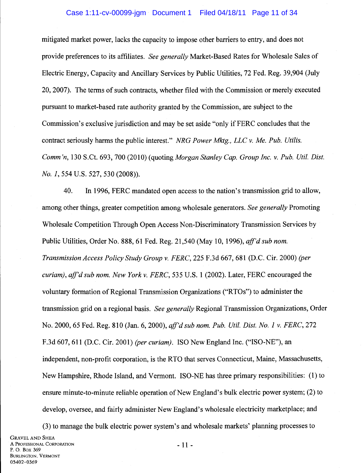#### Case 1:11-cv-00099-jgm Document 1 Filed 04/18/11 Page 11 of 34

mitigated market power, lacks the capacity to impose other barriers to entry, and does not provide preferences to its affiliates. *See generally* Market-Based Rates for Wholesale Sales of Electric Energy, Capacity and Ancillary Services by Public Utilities, 72 Fed. Reg. 39,904 (July 20, 2007). The terms of such contracts, whether filed with the Commission or merely executed pursuant to market-based rate authority granted by the Commission, are subject to the Commission's exclusive jurisdiction and may be set aside "only if FERC concludes that the contract seriously harms the public interest." *NRG Power Mktg., LLC v. Me. Pub. Utilis. Comm'n,* 130 S.Ct. 693, 700 (2010) (quoting *Morgan Stanley Cap. Group Inc. v. Pub. Util. Dist. No. 1,* 554 U.S. 527, 530 (2008)).

40. In 1996, FERC mandated open access to the nation's transmission grid to allow, among other things, greater competition among wholesale generators. *See generally* Promoting Wholesale Competition Through Open Access Non-Discriminatory Transmission Services by Public Utilities, Order No. 888,61 Fed. Reg. 21,540 (May 10, 1996), *aff'd sub nom. Transmission Access Policy Study Group v. FERC,* 225 F.3d 667, 681 (D.C. Cir. 2000) *(per curiam), aff'd sub nom. New York v. FERC,* 535 U.S. 1 (2002). Later, FERC encouraged the voluntary formation of Regional Transmission Organizations ("RTOs") to administer the transmission grid on a regional basis. *See generally* Regional Transmission Organizations, Order No. 2000,65 Fed. Reg. 810 (Jan. 6, 2000), *aff'd sub nom. Pub. Uti!. Dist. No. 1 v. FERC,* 272 F.3d 607, 611 (D.C. Cir. 2001) *(per curiam).* ISO New England Inc. ("ISO-NE"), an independent, non-profit corporation, is the RTO that serves Connecticut, Maine, Massachusetts, New Hampshire, Rhode Island, and Vermont. ISO-NE has three primary responsibilities: (1) to ensure minute-to-minute reliable operation of New England's bulk electric power system; (2) to develop, oversee, and fairly administer New England's wholesale electricity marketplace; and

(3) to manage the bulk electric power system's and wholesale markets' planning processes to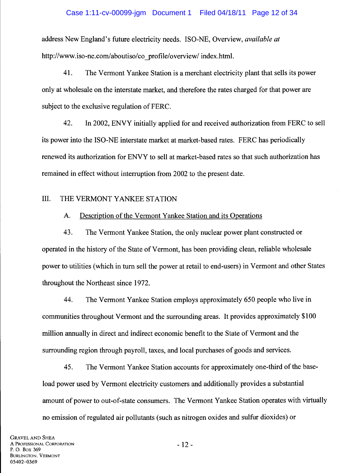# Case 1:11-cv-00099-jgm Document 1 Filed 04/18/11 Page 12 of 34

address New England's future electricity needs. ISO-NE, Overview, *available at*  http://www.iso-ne.com/aboutiso/co\_profile/overview/ index.html.

41. The Vermont Yankee Station is a merchant electricity plant that sells its power only at wholesale on the interstate market, and therefore the rates charged for that power are subject to the exclusive regulation of FERC.

42. In 2002, ENVY initially applied for and received authorization from FERC to sell its power into the ISO-NE interstate market at market-based rates. FERC has periodically renewed its authorization for ENVY to sell at market-based rates so that such authorization has remained in effect without interruption from 2002 to the present date.

# III. THE VERMONT YANKEE STATION

#### A. Description of the Vermont Yankee Station and its Operations

43. The Vermont Yankee Station, the only nuclear power plant constructed or operated in the history of the State of Vermont, has been providing clean, reliable wholesale power to utilities (which in tum sell the power at retail to end-users) in Vermont and other States throughout the Northeast since 1972.

44. The Vermont Yankee Station employs approximately 650 people who live in communities throughout Vermont and the surrounding areas. It provides approximately \$100 million annually in direct and indirect economic benefit to the State of Vermont and the surrounding region through payroll, taxes, and local purchases of goods and services.

45. The Vermont Yankee Station accounts for approximately one-third of the baseload power used by Vermont electricity customers and additionally provides a substantial amount of power to out-of-state consumers. The Vermont Yankee Station operates with virtually no emission of regulated air pollutants (such as nitrogen oxides and sulfur dioxides) or

GRAVEL AND SHEA A PROFESSIONAL CORPORATION P. 0. Box 369 BURLINGTON, VERMONT 05402-0369

- 12-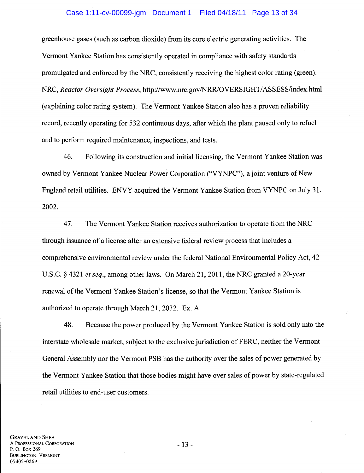## Case 1:11-cv-00099-jgm Document 1 Filed 04/18/11 Page 13 of 34

greenhouse gases (such as carbon dioxide) from its core electric generating activities. The Vermont Yankee Station has consistently operated in compliance with safety standards promulgated and enforced by the NRC, consistently receiving the highest color rating (green). NRC, *Reactor Oversight Process,* http://www.nrc.gov/NRR/OVERSIGHT/ASSESS/index.html (explaining color rating system). The Vermont Yankee Station also has a proven reliability record, recently operating for 532 continuous days, after which the plant paused only to refuel and to perform required maintenance, inspections, and tests.

46. Following its construction and initial licensing, the Vermont Yankee Station was owned by Vermont Yankee Nuclear Power Corporation ("VYNPC"), a joint venture of New England retail utilities. ENVY acquired the Vermont Yankee Station from VYNPC on July 31, 2002.

4 7. The Vermont Yankee Station receives authorization to operate from the NRC through issuance of a license after an extensive federal review process that includes a comprehensive environmental review under the federal National Environmental Policy Act, 42 U.S.C. § 4321 *et seq.,* among other laws. On March 21,2011, the NRC granted a 20-year renewal of the Vermont Yankee Station's license, so that the Vermont Yankee Station is authorized to operate through March 21, 2032. Ex. A.

48. Because the power produced by the Vermont Yankee Station is sold only into the interstate wholesale market, subject to the exclusive jurisdiction of FERC, neither the Vermont General Assembly nor the Vermont PSB has the authority over the sales of power generated by the Vermont Yankee Station that those bodies might have over sales of power by state-regulated retail utilities to end-user customers.

- 13-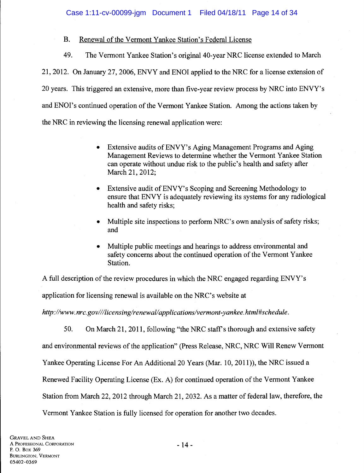# B. Renewal of the Vermont Yankee Station's Federal License

49. The Vermont Yankee Station's original 40-year NRC license extended to March 21,2012. On January 27,2006, ENVY and ENOl applied to the NRC for a license extension of 20 years. This triggered an extensive, more than five-year review process by NRC into ENVY's and ENOI's continued operation of the Vermont Yankee Station. Among the actions taken by the NRC in reviewing the licensing renewal application were:

- Extensive audits of ENVY's Aging Management Programs and Aging Management Reviews to determine whether the Vermont Yankee Station can operate without undue risk to the public's health and safety after March 21, 2012;
- Extensive audit of ENVY's Scoping and Screening Methodology to ensure that ENVY is adequately reviewing its systems for any radiological health and safety risks;
- Multiple site inspections to perform NRC's own analysis of safety risks; and
- Multiple public meetings and hearings to address environmental and safety concerns about the continued operation of the Vermont Yankee Station.

A full description of the review procedures in which the NRC engaged regarding ENVY's

application for licensing renewal is available on the NRC's website at

*http://www. nrc. gov/1/licensing/renewal/ applications/vermont-yankee. html#schedule.* 

50. On March 21, 2011, following "the NRC staff's thorough and extensive safety and environmental reviews of the application" (Press Release, NRC, NRC Will Renew Vermont Yankee Operating License For An Additional 20 Years (Mar. 10, 2011)), the NRC issued a Renewed Facility Operating License (Ex. A) for continued operation of the Vermont Yankee Station from March 22, 2012 through March 21, 2032. As a matter of federal law, therefore, the Vermont Yankee Station is fully licensed for operation for another two decades.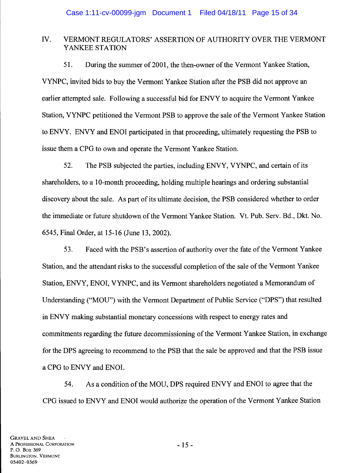# IV. VERMONT REGULATORS' ASSERTION OF AUTHORITY OVER THE VERMONT YANKEE STATION

51. During the summer of 2001, the then-owner of the Vermont Yankee Station, VYNPC, invited bids to buy the Vermont Yankee Station after the PSB did not approve an earlier attempted sale. Following a successful bid for ENVY to acquire the Vermont Yankee Station, VYNPC petitioned the Vermont PSB to approve the sale of the Vermont Yankee Station to ENVY. ENVY and ENOl participated in that proceeding, ultimately requesting the PSB to issue them a CPG to own and operate the Vermont Yankee Station.

52. The PSB subjected the parties, including ENVY, VYNPC, and certain of its shareholders, to a 10-month proceeding, holding multiple hearings and ordering substantial discovery about the sale. As part of its ultimate decision, the PSB considered whether to order the immediate or future shutdown of the Vermont Yankee Station. Vt. Pub. Serv. Bd., Dkt. No. 6545, Final Order, at 15-16 (June 13, 2002).

53. Faced with the PSB's assertion of authority over the fate of the Vermont Yankee Station, and the attendant risks to the successful completion of the sale of the Vermont Yankee Station, ENVY, ENOl, VYNPC, and its Vermont shareholders negotiated a Memorandum of Understanding ("MOU") with the Vermont Department of Public Service ("DPS") that resulted in ENVY making substantial monetary concessions with respect to energy rates and commitments regarding the future decommissioning of the Vermont Yankee Station, in exchange for the DPS agreeing to recommend to the PSB that the sale be approved and that the PSB issue a CPG to ENVY and ENOL

54. As a condition of the MOU, DPS required ENVY and ENOl to agree that the CPG issued to ENVY and ENOl would authorize the operation ofthe Vermont Yankee Station

- 15 -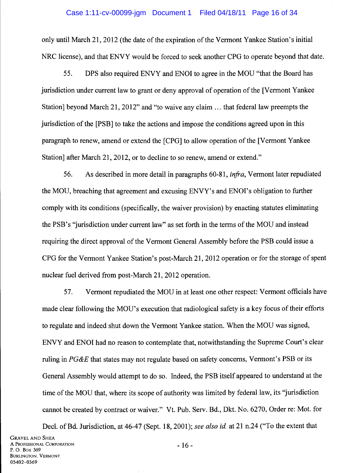#### Case 1:11-cv-00099-jgm Document 1 Filed 04/18/11 Page 16 of 34

only until March 21, 2012 (the date of the expiration of the Vermont Yankee Station's initial NRC license), and that ENVY would be forced to seek another CPG to operate beyond that date.

55. DPS also required ENVY and ENOl to agree in the MOU "that the Board has jurisdiction under current law to grant or deny approval of operation of the [Vermont Yankee] Station] beyond March 21, 2012" and "to waive any claim ... that federal law preempts the jurisdiction of the [PSB] to take the actions and impose the conditions agreed upon in this paragraph to renew, amend or extend the [CPG] to allow operation of the [Vermont Yankee Station] after March 21, 2012, or to decline to so renew, amend or extend."

56. As described in more detail in paragraphs 60-81, *infra,* Vermont later repudiated the MOU, breaching that agreement and excusing ENVY's and ENOl's obligation to further comply with its conditions (specifically, the waiver provision) by enacting statutes eliminating the PSB's "jurisdiction under current law" as set forth in the terms of the MOU and instead requiring the direct approval of the Vermont General Assembly before the PSB could issue a CPG for the Vermont Yankee Station's post-March 21, 2012 operation or for the storage of spent nuclear fuel derived from post-March 21, 2012 operation.

57. Vermont repudiated the MOU in at least one other respect: Vermont officials have made clear following the MOU's execution that radiological safety is a key focus of their efforts to regulate and indeed shut down the Vermont Yankee station. When the MOU was signed, ENVY and ENOl had no reason to contemplate that, notwithstanding the Supreme Court's clear ruling in *PG&E* that states may not regulate based on safety concerns, Vermont's PSB or its General Assembly would attempt to do so. Indeed, the PSB itself appeared to understand at the time of the MOU that, where its scope of authority was limited by federal law, its "jurisdiction cannot be created by contract or waiver." Vt. Pub. Serv. Bd., Dkt. No. 6270, Order re: Mot. for

Decl. of Bd. Jurisdiction, at 46-47 (Sept. 18, 2001); *see also id.* at 21 n.24 ("To the extent that GRAVEL AND SHEA A PROFESSIONAL CORPORATION P. 0. Box 369 BURLINGTON, VERMONT 05402-0369 - 16-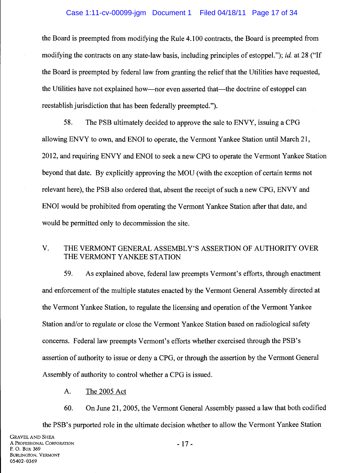# Case 1:11-cv-00099-jgm Document 1 Filed 04/18/11 Page 17 of 34

the Board is preempted from modifying the Rule 4.100 contracts, the Board is preempted from modifying the contracts on any state-law basis, including principles of estoppel."); *id.* at 28 ("If the Board is preempted by federal law from granting the relief that the Utilities have requested, the Utilities have not explained how—nor even asserted that—the doctrine of estoppel can reestablish jurisdiction that has been federally preempted.").

58. The PSB ultimately decided to approve the sale to ENVY, issuing a CPG allowing ENVY to own, and ENOl to operate, the Vermont Yankee Station until March 21, 2012, and requiring ENVY and ENOl to seek a new CPG to operate the Vermont Yankee Station beyond that date. By explicitly approving the MOU (with the exception of certain terms not relevant here), the PSB also ordered that, absent the receipt of such a new CPG, ENVY and ENOl would be prohibited from operating the Vermont Yankee Station after that date, and would be permitted only to decommission the site.

# V. THE VERMONT GENERAL ASSEMBLY'S ASSERTION OF AUTHORITY OVER THE VERMONT YANKEE STATION

59. As explained above, federal law preempts Vermont's efforts, through enactment and enforcement of the multiple statutes enacted by the Vermont General Assembly directed at the Vermont Yankee Station, to regulate the licensing and operation of the Vermont Yankee Station and/or to regulate or close the Vermont Yankee Station based on radiological safety concerns. Federal law preempts Vermont's efforts whether exercised through the PSB's assertion of authority to issue or deny a CPG, or through the assertion by the Vermont General Assembly of authority to control whether a CPG is issued.

A. The 2005 Act

60. On June 21, 2005, the Vermont General Assembly passed a law that both codified the PSB's purported role in the ultimate decision whether to allow the Vermont Yankee Station

- 17-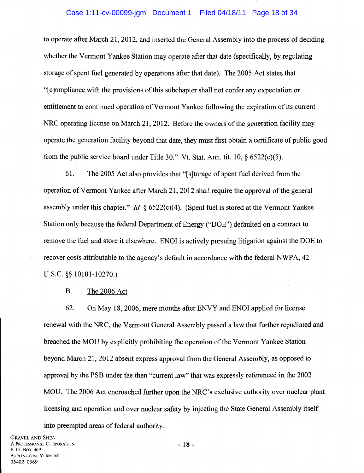to operate after March 21, 2012, and inserted the General Assembly into the process of deciding whether the Vermont Yankee Station may operate after that date (specifically, by regulating storage of spent fuel generated by operations after that date). The 2005 Act states that "[c]ompliance with the provisions of this subchapter shall not confer any expectation or entitlement to continued operation of Vermont Yankee following the expiration of its current NRC operating license on March 21, 2012. Before the owners of the generation facility may operate the generation facility beyond that date, they must first obtain a certificate of public good from the public service board under Title 30." Vt. Stat. Ann. tit. 10,  $\delta$  6522(c)(5).

61. The 2005 Act also provides that"[ s ]torage of spent fuel derived from the operation of Vermont Yankee after March 21, 2012 shall require the approval of the general assembly under this chapter." *Id* § 6522(c)(4). (Spent fuel is stored at the Vermont Yankee Station only because the federal Department of Energy ("DOE") defaulted on a contract to remove the fuel and store it elsewhere. ENOl is actively pursuing litigation against the DOE to recover costs attributable to the agency's default in accordance with the federal NWPA, 42 u.s.c. §§ 10101-10270.)

B. The 2006 Act

62. On May 18, 2006, mere months after ENVY and ENOl applied for license renewal with the NRC, the Vermont General Assembly passed a law that further repudiated and breached the MOU by explicitly prohibiting the operation of the Vermont Yankee Station beyond March 21, 2012 absent express approval from the General Assembly, as opposed to approval by the PSB under the then "current law" that was expressly referenced in the 2002 MOU. The 2006 Act encroached further upon the NRC's exclusive authority over nuclear plant licensing and operation and over nuclear safety by injecting the State General Assembly itself into preempted areas of federal authority.

GRAVEL AND SHEA A PROFESSIONAL CORPORATION P. 0. Box 369 BURLINGTON, VERMONT 05402-0369

- 18-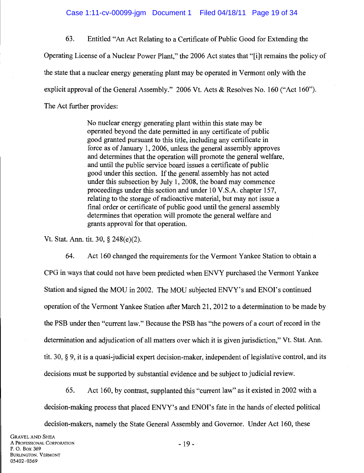63. Entitled "An Act Relating to a Certificate of Public Good for Extending the Operating License of a Nuclear Power Plant," the 2006 Act states that "[i]t remains the policy of the state that a nuclear energy generating plant may be operated in Vermont only with the explicit approval of the General Assembly." 2006 Vt. Acts & Resolves No. 160 ("Act 160"). The Act further provides:

> No nuclear energy generating plant within this state may be operated beyond the date permitted in any certificate of public good granted pursuant to this title, including any certificate in force as of January 1, 2006, unless the general assembly approves and determines that the operation will promote the general welfare, and until the public service board issues a certificate of public good under this section. If the general assembly has not acted under this subsection by July 1, 2008, the board may commence proceedings under this section and under 10 V.S.A. chapter 157, relating to the storage of radioactive material, but may not issue a final order or certificate of public good until the general assembly determines that operation will promote the general welfare and grants approval for that operation.

Vt. Stat. Ann. tit. 30, § 248(e)(2).

64. Act 160 changed the requirements for the Vermont Yankee Station to obtain a CPG in ways that could not have been predicted when ENVY purchased the Vermont Yankee Station and signed the MOU in 2002. The MOU subjected ENVY's and ENOl's continued operation of the Vermont Yankee Station after March 21, 2012 to a determination to be made by the PSB under then "current law." Because the PSB has "the powers of a court of record in the determination and adjudication of all matters over which it is given jurisdiction," Vt. Stat. Ann. tit. 30, § 9, it is a quasi-judicial expert decision-maker, independent of legislative control, and its decisions must be supported by substantial evidence and be subject to judicial review.

65. Act 160, by contrast, supplanted this "current law" as it existed in 2002 with a decision-making process that placed ENVY's and ENOl's fate in the hands of elected political

decision-makers, namely the State General Assembly and Governor. Under Act 160, these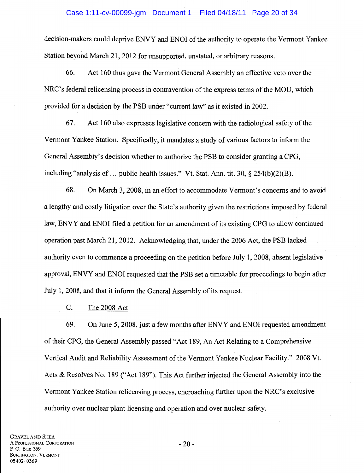## Case 1:11-cv-00099-jgm Document 1 Filed 04/18/11 Page 20 of 34

decision-makers could deprive ENVY and ENOI of the authority to operate the Vermont Yankee Station beyond March 21, 2012 for unsupported, unstated, or arbitrary reasons.

66. Act 160 thus gave the Vermont General Assembly an effective veto over the NRC's federal relicensing process in contravention of the express terms of the MOU, which provided for a decision by the PSB under "current law" as it existed in 2002.

67. Act 160 also expresses legislative concern with the radiological safety of the Vermont Yankee Station. Specifically, it mandates a study of various factors to inform the General Assembly's decision whether to authorize the PSB to consider granting a CPG, including "analysis of ... public health issues." Vt. Stat. Ann. tit. 30,  $\S$  254(b)(2)(B).

68. On March 3, 2008, in an effort to accommodate Vermont's concerns and to avoid a lengthy and costly litigation over the State's authority given the restrictions imposed by federal law, ENVY and ENOl filed a petition for an amendment of its existing CPG to allow continued operation past March 21, 2012. Acknowledging that, under the 2006 Act, the PSB lacked authority even to commence a proceeding on the petition before July 1, 2008, absent legislative approval, ENVY and ENOl requested that the PSB set a timetable for proceedings to begin after July 1, 2008, and that it inform the General Assembly of its request.

C. The 2008 Act

69. On June 5, 2008, just a few months after ENVY and ENOl requested amendment of their CPG, the General Assembly passed "Act 189, An Act Relating to a Comprehensive Vertical Audit and Reliability Assessment of the Vermont Yankee Nuclear Facility." 2008 Vt. Acts & Resolves No. 189 ("Act 189"). This Act further injected the General Assembly into the Vermont Yankee Station relicensing process, encroaching further upon the NRC's exclusive authority over nuclear plant licensing and operation and over nuclear safety.

-20-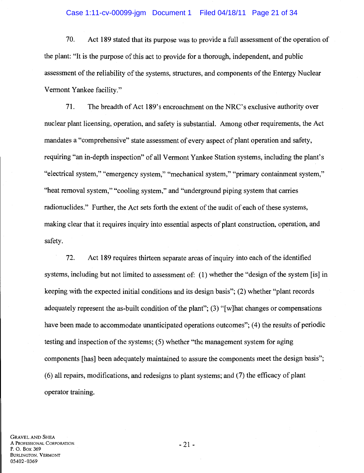# Case 1:11-cv-00099-jgm Document 1 Filed 04/18/11 Page 21 of 34

70. Act 189 stated that its purpose was to provide a full assessment of the operation of the plant: "It is the purpose of this act to provide for a thorough, independent, and public assessment of the reliability of the systems, structures, and components of the Entergy Nuclear Vermont Yankee facility."

71. The breadth of Act 189's encroachment on the NRC's exclusive authority over nuclear plant licensing, operation, and safety is substantial. Among other requirements, the Act mandates a "comprehensive" state assessment of every aspect of plant operation and safety, requiring "an in-depth inspection" of all Vermont Yankee Station systems, including the plant's "electrical system," "emergency system," "mechanical system," "primary containment system," "heat removal system," "cooling system," and "underground piping system that carries radionuclides." Further, the Act sets forth the extent of the audit of each of these systems, making clear that it requires inquiry into essential aspects of plant construction, operation, and safety.

72. Act 189 requires thirteen separate areas of inquiry into each of the identified systems, including but not limited to assessment of: (1) whether the "design of the system [is] in keeping with the expected initial conditions and its design basis"; (2) whether "plant records adequately represent the as-built condition of the plant"; (3) "[w]hat changes or compensations have been made to accommodate unanticipated operations outcomes"; (4) the results of periodic testing and inspection of the systems; (5) whether "the management system for aging components [has] been adequately maintained to assure the components meet the design basis"; (6) all repairs, modifications, and redesigns to plant systems; and (7) the efficacy of plant operator training.

GRAVEL AND SHEA A PROFESSIONAL CORPORATION P. 0. Box 369 BURLINGTON, VERMONT 05402-0369

- 21 -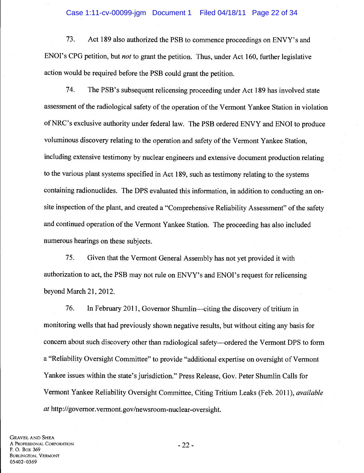#### Case 1:11-cv-00099-jgm Document 1 Filed 04/18/11 Page 22 of 34

73. Act 189 also authorized the PSB to commence proceedings on ENVY's and ENOl's CPG petition, but *not* to grant the petition. Thus, under Act 160, further legislative action would be required before the PSB could grant the petition.

74. The PSB's subsequent relicensing proceeding under Act 189 has involved state assessment of the radiological safety of the operation of the Vermont Yankee Station in violation ofNRC's exclusive authority under federal law. The PSB ordered ENVY and ENOl to produce voluminous discovery relating to the operation and safety of the Vermont Yankee Station, including extensive testimony by nuclear engineers and extensive document production relating to the various plant systems specified in Act 189, such as testimony relating to the systems containing radionuclides. The DPS evaluated this information, in addition to conducting an onsite inspection of the plant, and created a "Comprehensive Reliability Assessment" of the safety and continued operation of the Vermont Yankee Station. The proceeding has also included numerous hearings on these subjects.

75. Given that the Vermont General Assembly has not yet provided it with authorization to act, the PSB may not rule on ENVY's and ENOl's request for relicensing beyond March 21, 2012.

76. In February 2011, Governor Shumlin—citing the discovery of tritium in monitoring wells that had previously shown negative results, but without citing any basis for concern about such discovery other than radiological safety--ordered the Vermont DPS to form a "Reliability Oversight Committee" to provide "additional expertise on oversight of Vermont Yankee issues within the state's jurisdiction." Press Release, Gov. Peter Shumlin Calls for Vermont Yankee Reliability Oversight Committee, Citing Tritium Leaks (Feb. 2011), *available at* http://governor.vermont.gov/newsroom-nuclear-oversight.

GRAVEL AND SHEA A PROFESSIONAL CORPORATION P. 0. Box 369 BURLINGTON, VERMONT 05402-0369

-22-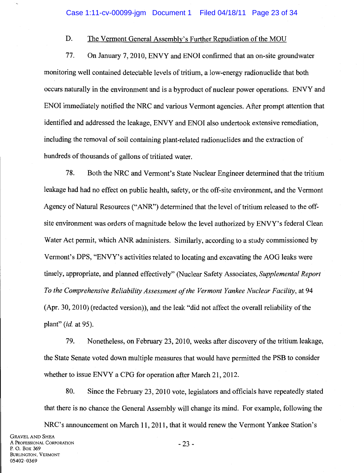#### D. The Vermont General Assembly's Further Repudiation of the MOU

77. On January 7, 2010, ENVY and ENOl confirmed that an on-site groundwater monitoring well contained detectable levels of tritium, a low-energy radionuclide that both occurs naturally in the environment and is a byproduct of nuclear power operations. ENVY and ENOl immediately notified the NRC and various Vermont agencies. After prompt attention that identified and addressed the leakage, ENVY and ENOl also undertook extensive remediation, including the removal of soil containing plant-related radionuclides and the extraction of hundreds of thousands of gallons of tritiated water.

78. Both the NRC and Vermont's State Nuclear Engineer determined that the tritium leakage had had no effect on public health, safety, or the off-site environment, and the Vermont Agency of Natural Resources ("ANR") determined that the level of tritium released to the offsite environment was orders of magnitude below the level authorized by ENVY's federal Clean Water Act permit, which ANR administers. Similarly, according to a study commissioned by Vermont's DPS, "ENVY's activities related to locating and excavating the AOG leaks were timely, appropriate, and planned effectively" (Nuclear Safety Associates, *Supplemental Report To the Comprehensive Reliability Assessment of the Vermont Yankee Nuclear Facility,* at 94  $(Apr. 30, 2010)$  (redacted version)), and the leak "did not affect the overall reliability of the plant" (id. at 95).

79. Nonetheless, on February 23, 2010, weeks after discovery of the tritium leakage, the State Senate voted down multiple measures that would have permitted the PSB to consider whether to issue ENVY a CPG for operation after March 21, 2012.

80. Since the February 23, 2010 vote, legislators and officials have repeatedly stated that there is no chance the General Assembly will change its mind. For example, following the NRC's announcement on March 11, 2011, that it would renew the Vermont Yankee Station's

GRAVEL AND SHEA A PROFESSIONAL CORPORATION P. 0. Box 369 BURLINGTON, VERMONT 05402-0369

-23-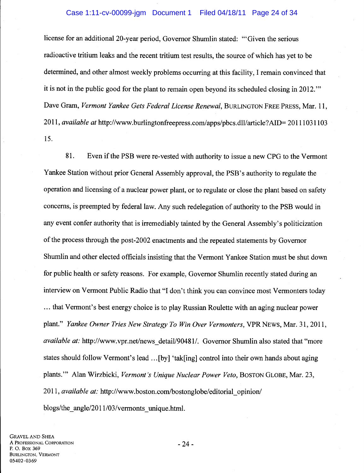# Case 1:11-cv-00099-jgm Document 1 Filed 04/18/11 Page 24 of 34

license for an additional20-year period, Governor Shumlin stated: '"Given the serious radioactive tritium leaks and the recent tritium test results, the source of which has yet to be determined, and other almost weekly problems occurring at this facility, I remain convinced that it is not in the public good for the plant to remain open beyond its scheduled closing in 2012. "' Dave Gram, *Vermont Yankee Gets Federal License Renewal,* BURLINGTON FREE PRESS, Mar. 11, 2011, *available at* http://www.burlingtonfreepress.com/apps/pbcs.dll/article?AID= 20111031103 15.

81. Even if the PSB were re-vested with authority to issue a new CPG to the Vermont Yankee Station without prior General Assembly approval, the PSB's authority to regulate the operation and licensing of a nuclear power plant, or to regulate or close the plant based on safety concerns, is preempted by federal law. Any such redelegation of authority to the PSB would in any event confer authority that is irremediably tainted by the General Assembly's politicization of the process through the post-2002 enactments and the repeated statements by Governor Shumlin and other elected officials insisting that the Vermont Yankee Station must be shut down for public health or safety reasons. For example, Governor Shumlin recently stated during an interview on Vermont Public Radio that "I don't think you can convince most Vermonters today ... that Vermont's best energy choice is to play Russian Roulette with an aging nuclear power plant." *Yankee Owner Tries New Strategy To Win Over Vermonters*, VPR NEWS, Mar. 31, 2011, *available at:* http://www.vpr.net/news\_detail/90481/. Governor Shumlin also stated that "more" states should follow Vermont's lead ... [by] 'tak[ing] control into their own hands about aging plants."' Alan Wirzbicki, *Vermont's Unique Nuclear Power Veto,* BosTON GLOBE, Mar. 23, 2011, *available at:* http://www.boston.com/bostonglobe/editorial\_opinion/

blogs/the angle/2011/03/vermonts unique.html.

-24-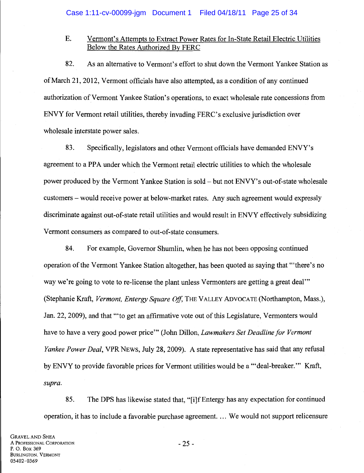# E. Vermont's Attempts to Extract Power Rates for In-State Retail Electric Utilities Below the Rates Authorized By FERC

82. As an alternative to Vermont's effort to shut down the Vermont Yankee Station as of March 21, 2012, Vermont officials have also attempted, as a condition of any continued authorization of Vermont Yankee Station's operations, to exact wholesale rate concessions from ENVY for Vermont retail utilities, thereby invading FERC's exclusive jurisdiction over wholesale interstate power sales.

83. Specifically, legislators and other Vermont officials have demanded ENVY's agreement to a PPA under which the Vermont retail electric utilities to which the wholesale power produced by the Vermont Yankee Station is sold- but not ENVY's out-of-state wholesale customers- would receive power at below-market rates. Any such agreement would expressly discriminate against out-of-state retail utilities and would result in ENVY effectively subsidizing Vermont consumers as compared to out-of-state consumers.

84. For example, Governor Shumlin, when he has not been opposing continued operation of the Vermont Yankee Station altogether, has been quoted as saying that "'there's no way we're going to vote to re-license the plant unless Vermonters are getting a great deal" (Stephanie Kraft, *Vermont, Entergy Square Off,* THE VALLEY ADVOCATE (Northampton, Mass.), Jan. 22, 2009), and that '"to get an affirmative vote out of this Legislature, Vermonters would have to have a very good power price"' (John Dillon, *Lawmakers Set Deadline for Vermont Yankee Power Deal,* VPR NEWS, July 28, 2009). A state representative has said that any refusal by ENVY to provide favorable prices for Vermont utilities would be a '"deal-breaker.'" Kraft, *supra.* 

85. The DPS has likewise stated that, "[i]fEntergy has any expectation for continued operation, it has to include a favorable purchase agreement. ... We would not support relicensure

GRAVEL AND SHEA A PROFESSIONAL CORPORATION P. 0. Box 369 BURLINGTON, VERMONT 05402-0369

- 25-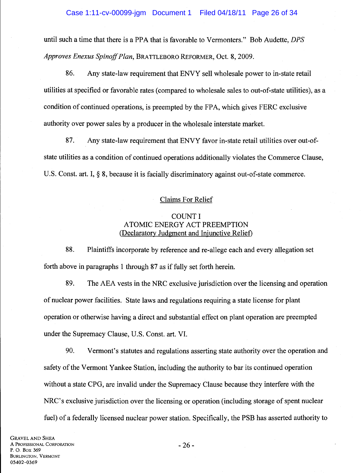until such a time that there is a PPA that is favorable to Vermonters." Bob Audette, *DPS Approves Enexus Spinoff Plan,* BRATTLEBORO REFORMER, Oct. 8, 2009.

86. Any state-law requirement that ENVY sell wholesale power to in-state retail utilities at specified or favorable rates (compared to wholesale sales to out-of-state utilities), as a condition of continued operations, is preempted by the FPA, which gives FERC exclusive authority over power sales by a producer in the wholesale interstate market.

87. Any state-law requirement that ENVY favor in-state retail utilities over out-ofstate utilities as a condition of continued operations additionally violates the Commerce Clause, U.S. Const. art. I, § 8, because it is facially discriminatory against out-of-state commerce.

# Claims For Relief

# COUNT I ATOMIC ENERGY ACT PREEMPTION (Declaratory Judgment and Injunctive RelieD

88. Plaintiffs incorporate by reference and re-allege each and every allegation set forth above in paragraphs 1 through 87 as if fully set forth herein.

89. The AEA vests in the NRC exclusive jurisdiction over the licensing and operation of nuclear power facilities. State laws and regulations requiring a state license for plant operation or otherwise having a direct and substantial effect on plant operation are preempted under the Supremacy Clause, U.S. Const. art. VI.

90. Vermont's statutes and regulations asserting state authority over the operation and safety of the Vermont Yankee Station, including the authority to bar its continued operation without a state CPG, are invalid under the Supremacy Clause because they interfere with the NRC's exclusive jurisdiction over the licensing or operation (including storage of spent nuclear fuel) of a federally licensed nuclear power station. Specifically, the PSB has asserted authority to

-26-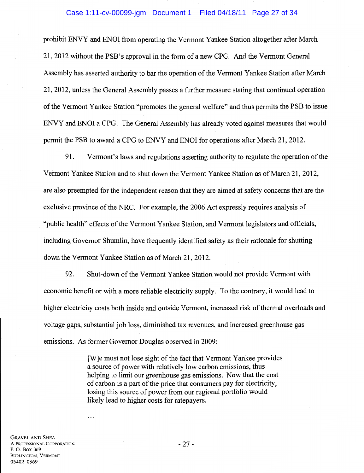#### Case 1:11-cv-00099-jgm Document 1 Filed 04/18/11 Page 27 of 34

prohibit ENVY and ENOl from operating the Vermont Yankee Station altogether after March 21, 2012 without the PSB' s approval in the form of a new CPG. And the Vermont General Assembly has asserted authority to bar the operation of the Vermont Yankee Station after March 21, 2012, unless the General Assembly passes a further measure stating that continued operation of the Vermont Yankee Station "promotes the general welfare" and thus permits the PSB to issue ENVY and ENOl a CPG. The General Assembly has already voted against measures that would permit the PSB to award a CPG to ENVY and ENOl for operations after March 21,2012.

91. Vermont's laws and regulations asserting authority to regulate the operation of the Vermont Yankee Station and to shut down the Vermont Yankee Station as of March 21, 2012, are also preempted for the independent reason that they are aimed at safety concerns that are the exclusive province of the NRC. For example, the 2006 Act expressly requires analysis of "public health" effects of the Vermont Yankee Station, and Vermont legislators and officials, including Governor Shumlin, have frequently identified safety as their rationale for shutting down the Vermont Yankee Station as of March 21, 2012.

92. Shut-down of the Vermont Yankee Station would not provide Vermont with economic benefit or with a more reliable electricity supply. To the contrary, it would lead to higher electricity costs both inside and outside Vermont, increased risk of thermal overloads and voltage gaps, substantial job loss, diminished tax revenues, and increased greenhouse gas emissions. As former Governor Douglas observed in 2009:

> [W]e must not lose sight of the fact that Vermont Yankee provides a source of power with relatively low carbon emissions, thus helping to limit our greenhouse gas emissions. Now that the cost of carbon is a part of the price that consumers pay for electricity, losing this source of power from our regional portfolio would likely lead to higher costs for ratepayers.

GRAVEL AND SHEA A PROFESSIONAL CORPORATION P. 0. Box 369 BURLINGTON, VERMONT 05402-0369

 $\ddotsc$ 

-27-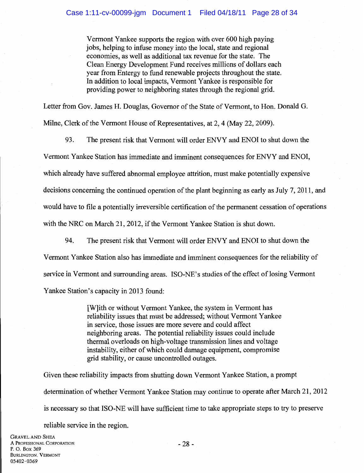Vermont Yankee supports the region with over 600 high paying jobs, helping to infuse money into the local, state and regional economies, as well as additional tax revenue for the state. The Clean Energy Development Fund receives millions of dollars each year from Entergy to fund renewable projects throughout the state. In addition to local impacts, Vermont Yankee is responsible for providing power to neighboring states through the regional grid.

Letter from Gov. James H. Douglas, Governor of the State of Vermont, to Hon. Donald G.

Milne, Clerk of the Vermont House of Representatives, at 2, 4 (May 22, 2009).

93. The present risk that Vermont will order ENVY and ENOl to shut down the

Vermont Yankee Station has immediate and imminent consequences for ENVY and ENOl,

which already have suffered abnormal employee attrition, must make potentially expensive

decisions concerning the continued operation of the plant beginning as early as July 7, 2011, and

would have to file a potentially irreversible certification of the permanent cessation of operations

with the NRC on March 21, 2012, if the Vermont Yankee Station is shut down.

94. The present risk that Vermont will order ENVY and ENOl to shut down the Vermont Yankee Station also has immediate and imminent consequences for the reliability of service in Vermont and surrounding areas. ISO-NE's studies of the effect of losing Vermont Yankee Station's capacity in 2013 found:

> [W]ith or without Vermont Yankee, the system in Vermont has reliability issues that must be addressed; without Vermont Yankee in service, those issues are more severe and could affect neighboring areas. The potential reliability issues could include thermal overloads on high-voltage transmission lines and voltage instability, either of which could damage equipment, compromise grid stability, or cause uncontrolled outages.

Given these reliability impacts from shutting down Vermont Yankee Station, a prompt determination of whether Vermont Yankee Station may continue to operate after March 21, 2012 is necessary so that ISO-NE will have sufficient time to take appropriate steps to try to preserve

reliable service in the region.

GRAVEL AND SHEA A PROFESSIONAL CORPORATION P. 0. Box 369 BURLINGTON, VERMONT 05402-0369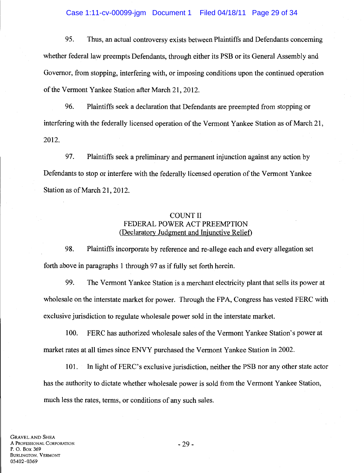# Case 1:11-cv-00099-jgm Document 1 Filed 04/18/11 Page 29 of 34

95. Thus, an actual controversy exists between Plaintiffs and Defendants concerning whether federal law preempts Defendants, through either its PSB or its General Assembly and Governor, from stopping, interfering with, or imposing conditions upon the continued operation of the Vermont Yankee Station after March 21, 2012.

96. Plaintiffs seek a declaration that Defendants are preempted from stopping or interfering with the federally licensed operation of the Vermont Yankee Station as of March 21, 2012.

97. Plaintiffs seek a preliminary and permanent injunction against any action by Defendants to stop or interfere with the federally licensed operation of the Vermont Yankee Station as of March 21, 2012.

# COUNT II FEDERAL POWER ACT PREEMPTION (Declaratory Judgment and Injunctive Relief)

98. Plaintiffs incorporate by reference and re-allege each and every allegation set forth above in paragraphs 1 through 97 as if fully set forth herein.

99. The Vermont Yankee Station is a merchant electricity plant that sells its power at wholesale on the interstate market for power. Through the FPA, Congress has vested FERC with exclusive jurisdiction to regulate wholesale power sold in the interstate market.

100. FERC has authorized wholesale sales of the Vermont Yankee Station's power at market rates at all times since ENVY purchased the Vermont Yankee Station in 2002.

101. In light of PERC's exclusive jurisdiction, neither the PSB nor any other state actor has the authority to dictate whether wholesale power is sold from the Vermont Yankee Station, much less the rates, terms, or conditions of any such sales.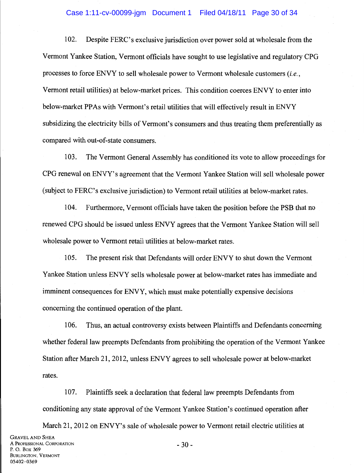# Case 1:11-cv-00099-jgm Document 1 Filed 04/18/11 Page 30 of 34

102. Despite PERC's exclusive jurisdiction over power sold at wholesale from the Vermont Yankee Station, Vermont officials have sought to use legislative and regulatory CPG processes to force ENVY to sell wholesale power to Vermont wholesale customers *(i.e.,*  Vermont retail utilities) at below-market prices. This condition coerces ENVY to enter into below-market PPAs with Vermont's retail utilities that will effectively result in ENVY subsidizing the electricity bills of Vermont's consumers and thus treating them preferentially as compared with out-of-state consumers.

103. The Vermont General Assembly has conditioned its vote to allow proceedings for CPG renewal on ENVY's agreement that the Vermont Yankee Station will sell wholesale power (subject to PERC's exclusive jurisdiction) to Vermont retail utilities at below-market rates.

104. Furthermore, Vermont officials have taken the position before the PSB that no renewed CPG should be issued unless ENVY agrees that the Vermont Yankee Station will sell wholesale power to Vermont retail utilities at below-market rates.

105. The present risk that Defendants will order ENVY to shut down the Vermont Yankee Station unless ENVY sells wholesale power at below-market rates has immediate and imminent consequences for ENVY, which must make potentially expensive decisions concerning the continued operation of the plant.

106. Thus, an actual controversy exists between Plaintiffs and Defendants concerning whether federal law preempts Defendants from prohibiting the operation of the Vermont Yankee Station after March 21, 2012, unless ENVY agrees to sell wholesale power at below-market rates.

107. Plaintiffs seek a declaration that federal law preempts Defendants from conditioning any state approval of the Vermont Yankee Station's continued operation after

March 21, 2012 on ENVY's sale of wholesale power to Vermont retail electric utilities at

-30-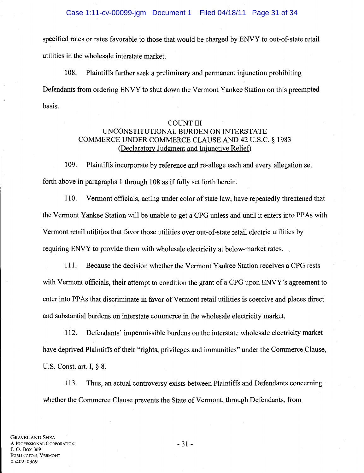specified rates or rates favorable to those that would be charged by ENVY to out-of-state retail utilities in the wholesale interstate market.

108. Plaintiffs further seek a preliminary and permanent injunction prohibiting Defendants from ordering ENVY to shut down the Vermont Yankee Station on this preempted basis.

# COUNT III UNCONSTITUTIONAL BURDEN ON INTERSTATE COMMERCE UNDER COMMERCE CLAUSE AND 42 U.S.C. § 1983 (Declaratory Judgment and Injunctive Relief)

1 09. Plaintiffs incorporate by reference and re-allege each and every allegation set forth above in paragraphs 1 through 108 as if fully set forth herein.

110. Vermont officials, acting under color of state law, have repeatedly threatened that the Vermont Yankee Station will be unable to get a CPG unless and until it enters into PP As with Vermont retail utilities that favor those utilities over out-of-state retail electric utilities by requiring ENVY to provide them with wholesale electricity at below-market rates.

111. Because the decision whether the Vermont Yankee Station receives a CPG rests with Vermont officials, their attempt to condition the grant of a CPG upon ENVY's agreement to enter into PP As that discriminate in favor of Vermont retail utilities is coercive and places direct and substantial burdens on interstate commerce in the wholesale electricity market.

112. Defendants' impermissible burdens on the interstate wholesale electricity market have deprived Plaintiffs of their "rights, privileges and immunities" under the Commerce Clause, U.S. Const. art. I, § 8.

113. Thus, an actual controversy exists between Plaintiffs and Defendants concerning whether the Commerce Clause prevents the State of Vermont, through Defendants, from

GRAVEL AND SHEA A PROFESSIONAL CORPORATION P. 0. Box 369 BURLINGTON. VERMONT 05402-0369

- 31 -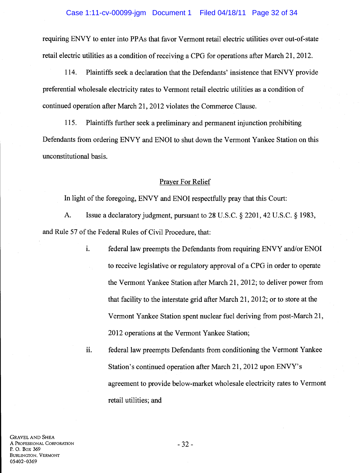# Case 1:11-cv-00099-jgm Document 1 Filed 04/18/11 Page 32 of 34

requiring ENVY to enter into PPAs that favor Vermont retail electric utilities over out-of-state retail electric utilities as a condition of receiving a CPG for operations after March 21, 2012.

114. Plaintiffs seek a declaration that the Defendants' insistence that ENVY provide preferential wholesale electricity rates to Vermont retail electric utilities as a condition of continued operation after March 21, 2012 violates the Commerce Clause.

115. Plaintiffs further seek a preliminary and permanent injunction prohibiting Defendants from ordering ENVY and ENOl to shut down the Vermont Yankee Station on this unconstitutional basis.

#### Prayer For Relief

In light of the foregoing, ENVY and ENOl respectfully pray that this Court:

A. Issue a declaratory judgment, pursuant to 28 U.S.C. § 2201, 42 U.S.C. § 1983, and Rule 57 of the Federal Rules of Civil Procedure, that:

> i. federal law preempts the Defendants from requiring ENVY and/or ENOI to receive legislative or regulatory approval of a CPG in order to operate the Vermont Yankee Station after March 21, 2012; to deliver power from that facility to the interstate grid after March 21, 2012; or to store at the Vermont Yankee Station spent nuclear fuel deriving from post-March 21, 2012 operations at the Vermont Yankee Station;

ii. federal law preempts Defendants from conditioning the Vermont Yankee Station's continued operation after March 21, 2012 upon ENVY's agreement to provide below-market wholesale electricity rates to Vermont retail utilities; and

- 32-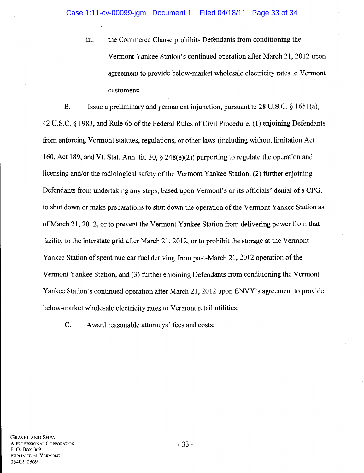iii. the Commerce Clause prohibits Defendants from conditioning the Vermont Yankee Station's continued operation after March 21, 2012 upon agreement to provide below-market wholesale electricity rates to Vermont customers;

B. Issue a preliminary and permanent injunction, pursuant to 28 U.S.C. § 1651(a), 42 U.S.C. § 1983, and Rule 65 ofthe Federal Rules of Civil Procedure, (1) enjoining Defendants from enforcing Vermont statutes, regulations, or other laws (including without limitation Act 160, Act 189, and Vt. Stat. Ann. tit. 30, § 248(e)(2)) purporting to regulate the operation and licensing and/or the radiological safety of the Vermont Yankee Station, (2) further enjoining Defendants from undertaking any steps, based upon Vermont's or its officials' denial of a CPG, to shut down or make preparations to shut down the operation of the Vermont Yankee Station as of March 21, 2012, or to prevent the Vermont Yankee Station from delivering power from that facility to the interstate grid after March 21, 2012, or to prohibit the storage at the Vermont Yankee Station of spent nuclear fuel deriving from post-March 21, 2012 operation of the Vermont Yankee Station, and (3) further enjoining Defendants from conditioning the Vermont Yankee Station's continued operation after March 21, 2012 upon ENVY's agreement to provide below-market wholesale electricity rates to Vermont retail utilities;

C. Award reasonable attorneys' fees and costs;

- 33-